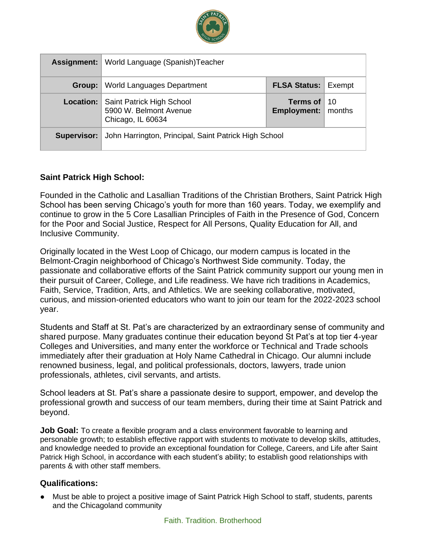

| Assignment: | World Language (Spanish)Teacher                                          |                                              |  |
|-------------|--------------------------------------------------------------------------|----------------------------------------------|--|
| Group:      | World Languages Department                                               | <b>FLSA Status: Exempt</b>                   |  |
| Location:   | Saint Patrick High School<br>5900 W. Belmont Avenue<br>Chicago, IL 60634 | Terms of $10$<br><b>Employment:</b>   months |  |
| Supervisor: | John Harrington, Principal, Saint Patrick High School                    |                                              |  |

### **Saint Patrick High School:**

Founded in the Catholic and Lasallian Traditions of the Christian Brothers, Saint Patrick High School has been serving Chicago's youth for more than 160 years. Today, we exemplify and continue to grow in the 5 Core Lasallian Principles of Faith in the Presence of God, Concern for the Poor and Social Justice, Respect for All Persons, Quality Education for All, and Inclusive Community.

Originally located in the West Loop of Chicago, our modern campus is located in the Belmont-Cragin neighborhood of Chicago's Northwest Side community. Today, the passionate and collaborative efforts of the Saint Patrick community support our young men in their pursuit of Career, College, and Life readiness. We have rich traditions in Academics, Faith, Service, Tradition, Arts, and Athletics. We are seeking collaborative, motivated, curious, and mission-oriented educators who want to join our team for the 2022-2023 school year.

Students and Staff at St. Pat's are characterized by an extraordinary sense of community and shared purpose. Many graduates continue their education beyond St Pat's at top tier 4-year Colleges and Universities, and many enter the workforce or Technical and Trade schools immediately after their graduation at Holy Name Cathedral in Chicago. Our alumni include renowned business, legal, and political professionals, doctors, lawyers, trade union professionals, athletes, civil servants, and artists.

School leaders at St. Pat's share a passionate desire to support, empower, and develop the professional growth and success of our team members, during their time at Saint Patrick and beyond.

**Job Goal:** To create a flexible program and a class environment favorable to learning and personable growth; to establish effective rapport with students to motivate to develop skills, attitudes, and knowledge needed to provide an exceptional foundation for College, Careers, and Life after Saint Patrick High School, in accordance with each student's ability; to establish good relationships with parents & with other staff members.

### **Qualifications:**

● Must be able to project a positive image of Saint Patrick High School to staff, students, parents and the Chicagoland community